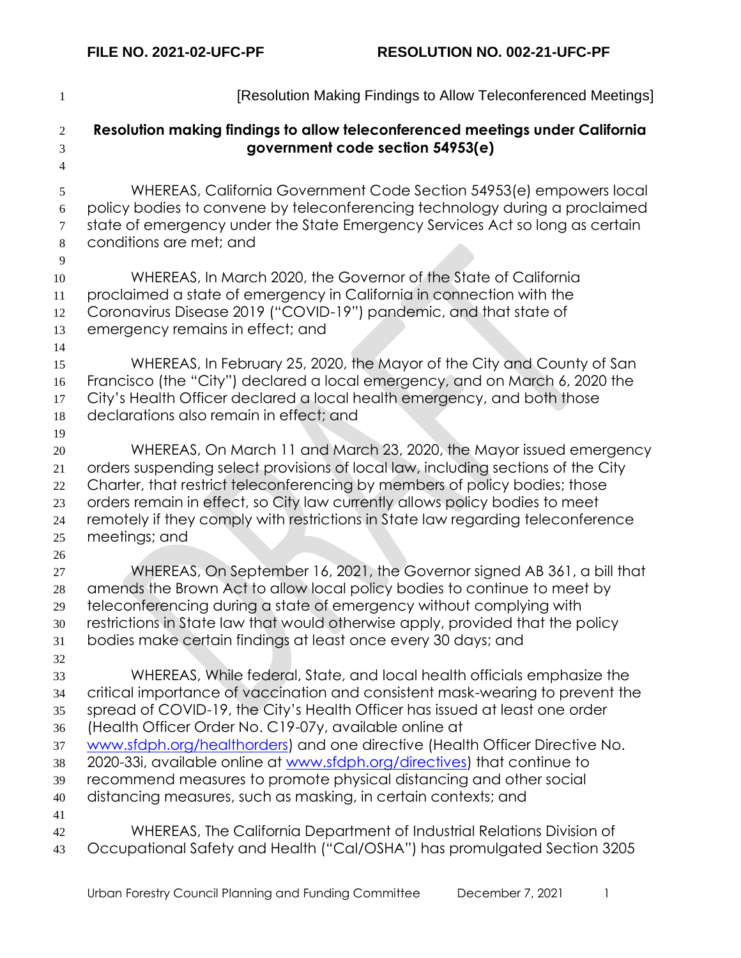| $\mathbf{1}$                                       | [Resolution Making Findings to Allow Teleconferenced Meetings]                                                                                                                                                                                                                                                                                                                                                                                                                                                                                                                                       |
|----------------------------------------------------|------------------------------------------------------------------------------------------------------------------------------------------------------------------------------------------------------------------------------------------------------------------------------------------------------------------------------------------------------------------------------------------------------------------------------------------------------------------------------------------------------------------------------------------------------------------------------------------------------|
| $\overline{2}$<br>3<br>$\overline{4}$              | Resolution making findings to allow teleconferenced meetings under California<br>government code section 54953(e)                                                                                                                                                                                                                                                                                                                                                                                                                                                                                    |
| 5<br>$\sqrt{6}$<br>$\boldsymbol{7}$<br>$\,8\,$     | WHEREAS, California Government Code Section 54953(e) empowers local<br>policy bodies to convene by teleconferencing technology during a proclaimed<br>state of emergency under the State Emergency Services Act so long as certain<br>conditions are met; and                                                                                                                                                                                                                                                                                                                                        |
| 9<br>10<br>11<br>12<br>13                          | WHEREAS, In March 2020, the Governor of the State of California<br>proclaimed a state of emergency in California in connection with the<br>Coronavirus Disease 2019 ("COVID-19") pandemic, and that state of<br>emergency remains in effect; and                                                                                                                                                                                                                                                                                                                                                     |
| 14<br>15<br>16<br>17<br>18                         | WHEREAS, In February 25, 2020, the Mayor of the City and County of San<br>Francisco (the "City") declared a local emergency, and on March 6, 2020 the<br>City's Health Officer declared a local health emergency, and both those<br>declarations also remain in effect; and                                                                                                                                                                                                                                                                                                                          |
| 19<br>$20\,$<br>21<br>22<br>23<br>24<br>25         | WHEREAS, On March 11 and March 23, 2020, the Mayor issued emergency<br>orders suspending select provisions of local law, including sections of the City<br>Charter, that restrict teleconferencing by members of policy bodies; those<br>orders remain in effect, so City law currently allows policy bodies to meet<br>remotely if they comply with restrictions in State law regarding teleconference<br>meetings; and                                                                                                                                                                             |
| 26<br>27<br>$28\,$<br>29<br>30<br>31               | WHEREAS, On September 16, 2021, the Governor signed AB 361, a bill that<br>amends the Brown Act to allow local policy bodies to continue to meet by<br>teleconferencing during a state of emergency without complying with<br>restrictions in State law that would otherwise apply, provided that the policy<br>bodies make certain findings at least once every 30 days; and                                                                                                                                                                                                                        |
| 32<br>33<br>34<br>35<br>36<br>37<br>38<br>39<br>40 | WHEREAS, While federal, State, and local health officials emphasize the<br>critical importance of vaccination and consistent mask-wearing to prevent the<br>spread of COVID-19, the City's Health Officer has issued at least one order<br>(Health Officer Order No. C19-07y, available online at<br>www.sfdph.org/healthorders) and one directive (Health Officer Directive No.<br>2020-33i, available online at www.sfdph.org/directives) that continue to<br>recommend measures to promote physical distancing and other social<br>distancing measures, such as masking, in certain contexts; and |
| 41<br>42<br>43                                     | WHEREAS, The California Department of Industrial Relations Division of<br>Occupational Safety and Health ("Cal/OSHA") has promulgated Section 3205                                                                                                                                                                                                                                                                                                                                                                                                                                                   |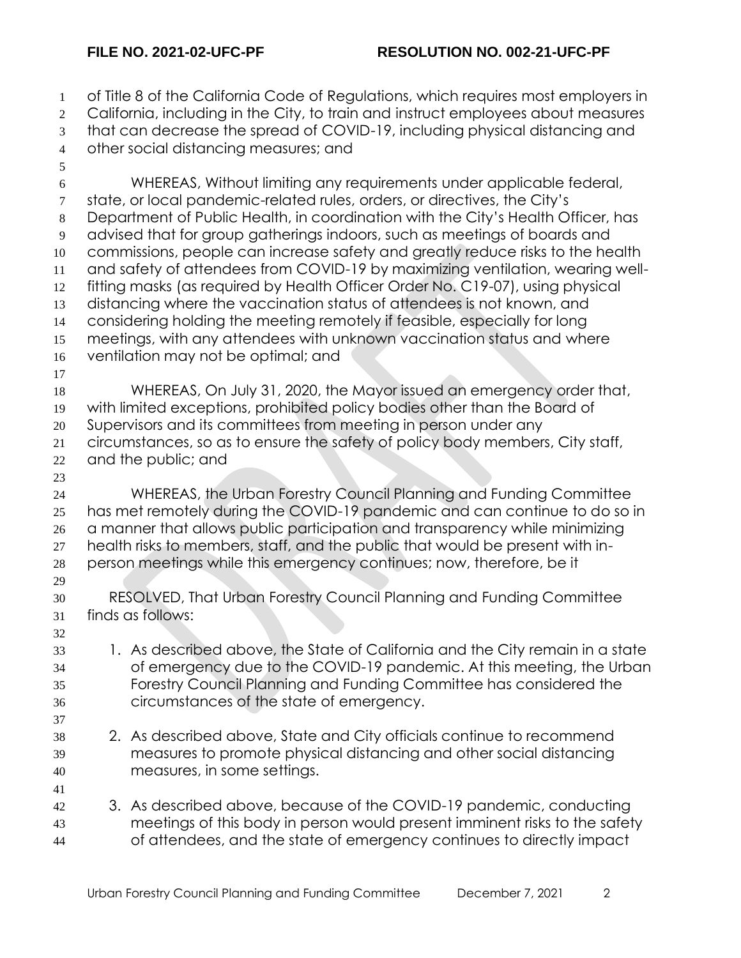of Title 8 of the California Code of Regulations, which requires most employers in 2 California, including in the City, to train and instruct employees about measures that can decrease the spread of COVID-19, including physical distancing and other social distancing measures; and WHEREAS, Without limiting any requirements under applicable federal, state, or local pandemic-related rules, orders, or directives, the City's Department of Public Health, in coordination with the City's Health Officer, has advised that for group gatherings indoors, such as meetings of boards and commissions, people can increase safety and greatly reduce risks to the health and safety of attendees from COVID-19 by maximizing ventilation, wearing well- fitting masks (as required by Health Officer Order No. C19-07), using physical distancing where the vaccination status of attendees is not known, and considering holding the meeting remotely if feasible, especially for long meetings, with any attendees with unknown vaccination status and where ventilation may not be optimal; and WHEREAS, On July 31, 2020, the Mayor issued an emergency order that, with limited exceptions, prohibited policy bodies other than the Board of Supervisors and its committees from meeting in person under any circumstances, so as to ensure the safety of policy body members, City staff, and the public; and WHEREAS, the Urban Forestry Council Planning and Funding Committee has met remotely during the COVID-19 pandemic and can continue to do so in a manner that allows public participation and transparency while minimizing health risks to members, staff, and the public that would be present with in- person meetings while this emergency continues; now, therefore, be it RESOLVED, That Urban Forestry Council Planning and Funding Committee finds as follows: 1. As described above, the State of California and the City remain in a state of emergency due to the COVID-19 pandemic. At this meeting, the Urban Forestry Council Planning and Funding Committee has considered the circumstances of the state of emergency. 2. As described above, State and City officials continue to recommend measures to promote physical distancing and other social distancing measures, in some settings. 3. As described above, because of the COVID-19 pandemic, conducting meetings of this body in person would present imminent risks to the safety of attendees, and the state of emergency continues to directly impact